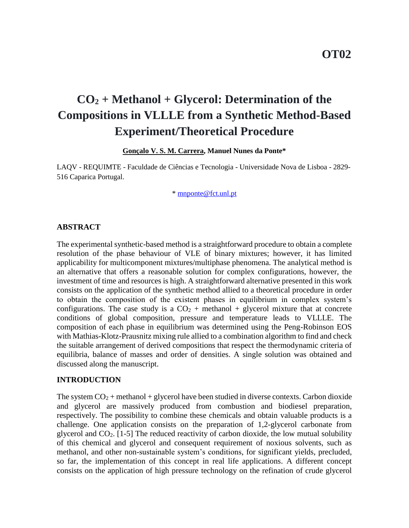# **CO<sup>2</sup> + Methanol + Glycerol: Determination of the Compositions in VLLLE from a Synthetic Method-Based Experiment/Theoretical Procedure**

### **Gonçalo V. S. M. Carrera, Manuel Nunes da Ponte\***

LAQV - REQUIMTE - Faculdade de Ciências e Tecnologia - Universidade Nova de Lisboa - 2829- 516 Caparica Portugal.

\* [mnponte@fct.unl.pt](file:///C:/Users/Gonçalo%20Carrera/Desktop/CO2+MeOH+Gly-40ºC-Phase%20Eq/ISSF2018-Conference/mnponte@fct.unl.pt)

### **ABSTRACT**

The experimental synthetic-based method is a straightforward procedure to obtain a complete resolution of the phase behaviour of VLE of binary mixtures; however, it has limited applicability for multicomponent mixtures/multiphase phenomena. The analytical method is an alternative that offers a reasonable solution for complex configurations, however, the investment of time and resources is high. A straightforward alternative presented in this work consists on the application of the synthetic method allied to a theoretical procedure in order to obtain the composition of the existent phases in equilibrium in complex system's configurations. The case study is a  $CO<sub>2</sub>$  + methanol + glycerol mixture that at concrete conditions of global composition, pressure and temperature leads to VLLLE. The composition of each phase in equilibrium was determined using the Peng-Robinson EOS with Mathias-Klotz-Prausnitz mixing rule allied to a combination algorithm to find and check the suitable arrangement of derived compositions that respect the thermodynamic criteria of equilibria, balance of masses and order of densities. A single solution was obtained and discussed along the manuscript.

#### **INTRODUCTION**

The system  $CO_2$  + methanol + glycerol have been studied in diverse contexts. Carbon dioxide and glycerol are massively produced from combustion and biodiesel preparation, respectively. The possibility to combine these chemicals and obtain valuable products is a challenge. One application consists on the preparation of 1,2-glycerol carbonate from glycerol and  $CO<sub>2</sub>$ . [1-5] The reduced reactivity of carbon dioxide, the low mutual solubility of this chemical and glycerol and consequent requirement of noxious solvents, such as methanol, and other non-sustainable system's conditions, for significant yields, precluded, so far, the implementation of this concept in real life applications. A different concept consists on the application of high pressure technology on the refination of crude glycerol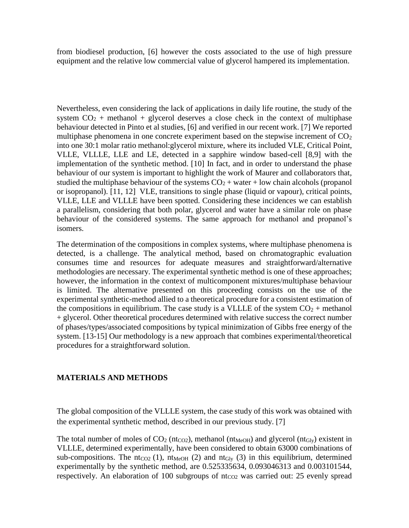from biodiesel production, [6] however the costs associated to the use of high pressure equipment and the relative low commercial value of glycerol hampered its implementation.

Nevertheless, even considering the lack of applications in daily life routine, the study of the system  $CO<sub>2</sub>$  + methanol + glycerol deserves a close check in the context of multiphase behaviour detected in Pinto et al studies, [6] and verified in our recent work. [7] We reported multiphase phenomena in one concrete experiment based on the stepwise increment of  $CO<sub>2</sub>$ into one 30:1 molar ratio methanol:glycerol mixture, where its included VLE, Critical Point, VLLE, VLLLE, LLE and LE, detected in a sapphire window based-cell [8,9] with the implementation of the synthetic method. [10] In fact, and in order to understand the phase behaviour of our system is important to highlight the work of Maurer and collaborators that, studied the multiphase behaviour of the systems  $CO<sub>2</sub> + water + low chain alcohols (propanol)$ or isopropanol). [11, 12] VLE, transitions to single phase (liquid or vapour), critical points, VLLE, LLE and VLLLE have been spotted. Considering these incidences we can establish a parallelism, considering that both polar, glycerol and water have a similar role on phase behaviour of the considered systems. The same approach for methanol and propanol's isomers.

The determination of the compositions in complex systems, where multiphase phenomena is detected, is a challenge. The analytical method, based on chromatographic evaluation consumes time and resources for adequate measures and straightforward/alternative methodologies are necessary. The experimental synthetic method is one of these approaches; however, the information in the context of multicomponent mixtures/multiphase behaviour is limited. The alternative presented on this proceeding consists on the use of the experimental synthetic-method allied to a theoretical procedure for a consistent estimation of the compositions in equilibrium. The case study is a VLLLE of the system  $CO<sub>2</sub>$  + methanol + glycerol. Other theoretical procedures determined with relative success the correct number of phases/types/associated compositions by typical minimization of Gibbs free energy of the system. [13-15] Our methodology is a new approach that combines experimental/theoretical procedures for a straightforward solution.

### **MATERIALS AND METHODS**

The global composition of the VLLLE system, the case study of this work was obtained with the experimental synthetic method, described in our previous study. [7]

The total number of moles of  $CO_2$  (nt<sub>CO2</sub>), methanol (nt<sub>MeOH</sub>) and glycerol (nt<sub>Gly</sub>) existent in VLLLE, determined experimentally, have been considered to obtain 63000 combinations of sub-compositions. The nt<sub>CO2</sub> (1), nt<sub>MeOH</sub> (2) and nt<sub>Gly</sub> (3) in this equilibrium, determined experimentally by the synthetic method, are 0.525335634, 0.093046313 and 0.003101544, respectively. An elaboration of  $100$  subgroups of  $nt_{CO2}$  was carried out: 25 evenly spread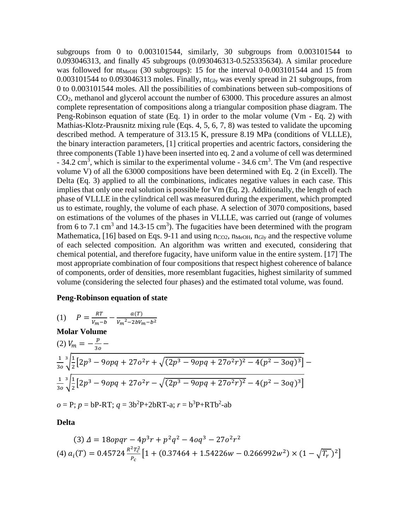subgroups from 0 to  $0.003101544$ , similarly, 30 subgroups from  $0.003101544$  to 0.093046313, and finally 45 subgroups (0.093046313-0.525335634). A similar procedure was followed for  $nt_{MeOH}$  (30 subgroups): 15 for the interval 0-0.003101544 and 15 from  $0.003101544$  to  $0.093046313$  moles. Finally, nt<sub>Gly</sub> was evenly spread in 21 subgroups, from 0 to 0.003101544 moles. All the possibilities of combinations between sub-compositions of CO2, methanol and glycerol account the number of 63000. This procedure assures an almost complete representation of compositions along a triangular composition phase diagram. The Peng-Robinson equation of state (Eq. 1) in order to the molar volume (Vm - Eq. 2) with Mathias-Klotz-Prausnitz mixing rule (Eqs. 4, 5, 6, 7, 8) was tested to validate the upcoming described method. A temperature of 313.15 K, pressure 8.19 MPa (conditions of VLLLE), the binary interaction parameters, [1] critical properties and acentric factors, considering the three components (Table 1) have been inserted into eq. 2 and a volume of cell was determined  $-34.2$  cm<sup>3</sup>, which is similar to the experimental volume  $-34.6$  cm<sup>3</sup>. The Vm (and respective volume V) of all the 63000 compositions have been determined with Eq. 2 (in Excell). The Delta (Eq. 3) applied to all the combinations, indicates negative values in each case. This implies that only one real solution is possible for Vm (Eq. 2). Additionally, the length of each phase of VLLLE in the cylindrical cell was measured during the experiment, which prompted us to estimate, roughly, the volume of each phase. A selection of 3070 compositions, based on estimations of the volumes of the phases in VLLLE, was carried out (range of volumes from 6 to 7.1 cm<sup>3</sup> and 14.3-15 cm<sup>3</sup>). The fugacities have been determined with the program Mathematica, [16] based on Eqs. 9-11 and using  $n_{CO2}$ ,  $n_{MeOH}$ ,  $n_{Glv}$  and the respective volume of each selected composition. An algorithm was written and executed, considering that chemical potential, and therefore fugacity, have uniform value in the entire system. [17] The most appropriate combination of four compositions that respect highest coherence of balance of components, order of densities, more resemblant fugacities, highest similarity of summed volume (considering the selected four phases) and the estimated total volume, was found.

#### **Peng-Robinson equation of state**

(1) 
$$
P = \frac{RT}{v_m - b} - \frac{a(T)}{v_m^2 - 2bV_m - b^2}
$$
  
\n**Molar Volume**  
\n(2) 
$$
V_m = -\frac{p}{30} - \frac{1}{30} \sqrt{\frac{1}{2} [2p^3 - 9opq + 27o^2r + \sqrt{(2p^3 - 9opq + 27o^2r)^2 - 4(p^2 - 3oq)^3}]} - \frac{1}{30} \sqrt{\frac{1}{2} [2p^3 - 9opq + 27o^2r - \sqrt{(2p^3 - 9opq + 27o^2r)^2} - 4(p^2 - 3oq)^3]}
$$
  
\n
$$
o = P; p = bP - RT; q = 3b^2P + 2bRT - a; r = b^3P + RTb^2 - ab
$$

**Delta**

$$
(3) \Delta = 18opp - 4p^3r + p^2q^2 - 4oq^3 - 27o^2r^2
$$
  

$$
(4) a_i(T) = 0.45724 \frac{R^2T_c^2}{P_c} \left[ 1 + (0.37464 + 1.54226w - 0.266992w^2) \times (1 - \sqrt{T_r})^2 \right]
$$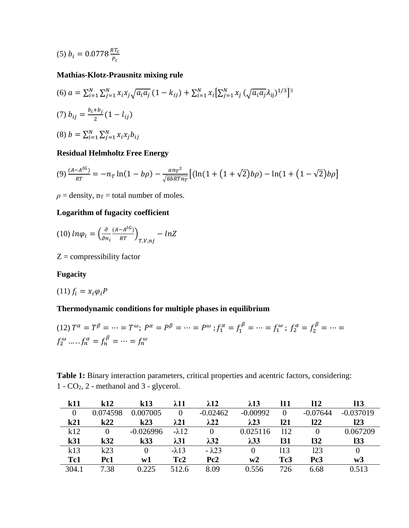$$
(5) b_i = 0.0778 \frac{RT_c}{P_c}
$$

# **Mathias-Klotz-Prausnitz mixing rule**

(6) 
$$
a = \sum_{i=1}^{N} \sum_{j=1}^{N} x_i x_j \sqrt{a_i a_j} (1 - k_{ij}) + \sum_{i=1}^{N} x_i \left[ \sum_{j=1}^{N} x_j (\sqrt{a_i a_j} \lambda_{ij})^{1/3} \right]^3
$$
  
\n(7)  $b_{ij} = \frac{b_i + b_j}{2} (1 - l_{ij})$   
\n(8)  $b = \sum_{i=1}^{N} \sum_{j=1}^{N} x_i x_j b_{ij}$ 

# **Residual Helmholtz Free Energy**

$$
(9) \frac{(A-A^{IG})}{RT} = -n_T \ln(1-b\rho) - \frac{a n_T^2}{\sqrt{8bRTn_T}} \left[ (\ln(1+(1+\sqrt{2})b\rho) - \ln(1+(1-\sqrt{2})b\rho) \right]
$$

 $\rho$  = density,  $n_T$  = total number of moles.

# **Logarithm of fugacity coefficient**

$$
(10) \ln \varphi_i = \left(\frac{\partial}{\partial n_i} \frac{(A - A^{IG})}{RT}\right)_{T, V, nj} - \ln Z
$$

 $Z =$  compressibility factor

# **Fugacity**

$$
(11)\,f_i = x_i \varphi_i P
$$

# **Thermodynamic conditions for multiple phases in equilibrium**

$$
(12) T^{\alpha} = T^{\beta} = \dots = T^{\omega}; P^{\alpha} = P^{\beta} = \dots = P^{\omega}; f_1^{\alpha} = f_1^{\beta} = \dots = f_1^{\omega}; f_2^{\alpha} = f_2^{\beta} = \dots = f_2^{\omega} \dots f_n^{\alpha} = f_n^{\beta} = \dots = f_n^{\omega}
$$

| <b>Table 1:</b> Binary interaction parameters, critical properties and acentric factors, considering: |  |  |
|-------------------------------------------------------------------------------------------------------|--|--|
| $1 - CO2$ , $2$ - methanol and $3$ - glycerol.                                                        |  |  |

| k11      | k12      | k13         | $\lambda 11$    | $\lambda$ 12  | $\lambda$ 13 | 11              | 112        | 113         |
|----------|----------|-------------|-----------------|---------------|--------------|-----------------|------------|-------------|
| $\Omega$ | 0.074598 | 0.007005    |                 | $-0.02462$    | $-0.00992$   | $\theta$        | $-0.07644$ | $-0.037019$ |
| k21      | k22      | k23         | $\lambda 21$    | $\lambda$ 22  | $\lambda$ 23 | 121             | 122        | 123         |
| k12      |          | $-0.026996$ | $-\lambda 12$   |               | 0.025116     | 112             |            | 0.067209    |
| k31      | k32      | k33         | $\lambda$ 31    | $\lambda$ 32  | $\lambda$ 33 | 131             | 132        | 133         |
| k13      | k23      | $\theta$    | $-\lambda$ 13   | $-\lambda$ 23 |              | 113             | 123        | $\Omega$    |
| Tc1      | Pc1      | w1          | Tc <sub>2</sub> | Pc2           | w2           | Tc <sub>3</sub> | Pc3        | w3          |
| 304.1    | 7.38     | 0.225       | 512.6           | 8.09          | 0.556        | 726             | 6.68       | 0.513       |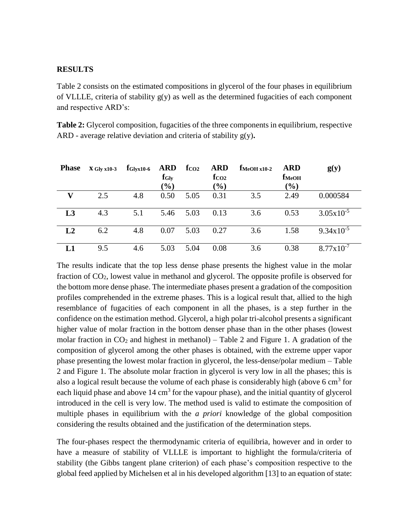#### **RESULTS**

Table 2 consists on the estimated compositions in glycerol of the four phases in equilibrium of VLLLE, criteria of stability  $g(y)$  as well as the determined fugacities of each component and respective ARD's:

**Table 2:** Glycerol composition, fugacities of the three components in equilibrium, respective ARD - average relative deviation and criteria of stability g(y)**.**

| <b>Phase</b>   | $X$ Gly x10-3 | $f_{\rm Glyx10-6}$ | ARD<br>$f_{\text{Gly}}$<br>$(\%)$ | $f_{CO2}$ | <b>ARD</b><br>f <sub>CO2</sub><br>$(\%)$ | $f_{\text{MeOH} x10-2}$ | <b>ARD</b><br><b>fMeOH</b><br>$(\%)$ | g(y)                  |
|----------------|---------------|--------------------|-----------------------------------|-----------|------------------------------------------|-------------------------|--------------------------------------|-----------------------|
| V              | 2.5           | 4.8                | 0.50                              | 5.05      | 0.31                                     | 3.5                     | 2.49                                 | 0.000584              |
| L3             | 4.3           | 5.1                | 5.46                              | 5.03      | 0.13                                     | 3.6                     | 0.53                                 | $3.05x10^{-5}$        |
| L <sub>2</sub> | 6.2           | 4.8                | 0.07                              | 5.03      | 0.27                                     | 3.6                     | 1.58                                 | $9.34 \times 10^{-5}$ |
|                | 9.5           | 4.6                | 5.03                              | 5.04      | 0.08                                     | 3.6                     | 0.38                                 | $8.77 \times 10^{-7}$ |

The results indicate that the top less dense phase presents the highest value in the molar fraction of CO2, lowest value in methanol and glycerol. The opposite profile is observed for the bottom more dense phase. The intermediate phases present a gradation of the composition profiles comprehended in the extreme phases. This is a logical result that, allied to the high resemblance of fugacities of each component in all the phases, is a step further in the confidence on the estimation method. Glycerol, a high polar tri-alcohol presents a significant higher value of molar fraction in the bottom denser phase than in the other phases (lowest molar fraction in  $CO_2$  and highest in methanol) – Table 2 and Figure 1. A gradation of the composition of glycerol among the other phases is obtained, with the extreme upper vapor phase presenting the lowest molar fraction in glycerol, the less-dense/polar medium – Table 2 and Figure 1. The absolute molar fraction in glycerol is very low in all the phases; this is also a logical result because the volume of each phase is considerably high (above  $6 \text{ cm}^3$  for each liquid phase and above  $14 \text{ cm}^3$  for the vapour phase), and the initial quantity of glycerol introduced in the cell is very low. The method used is valid to estimate the composition of multiple phases in equilibrium with the *a priori* knowledge of the global composition considering the results obtained and the justification of the determination steps.

The four-phases respect the thermodynamic criteria of equilibria, however and in order to have a measure of stability of VLLLE is important to highlight the formula/criteria of stability (the Gibbs tangent plane criterion) of each phase's composition respective to the global feed applied by Michelsen et al in his developed algorithm [13] to an equation of state: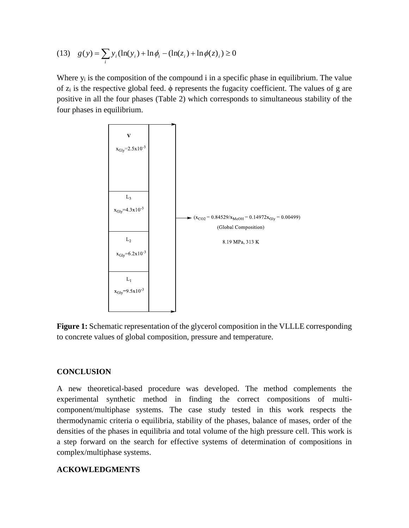(13) 
$$
g(y) = \sum_{i} y_i (\ln(y_i) + \ln \phi_i - (\ln(z_i) + \ln \phi(z)_i) \ge 0
$$

Where  $y_i$  is the composition of the compound i in a specific phase in equilibrium. The value of  $z_i$  is the respective global feed.  $\phi$  represents the fugacity coefficient. The values of g are positive in all the four phases (Table 2) which corresponds to simultaneous stability of the four phases in equilibrium.



**Figure 1:** Schematic representation of the glycerol composition in the VLLLE corresponding to concrete values of global composition, pressure and temperature.

### **CONCLUSION**

A new theoretical-based procedure was developed. The method complements the experimental synthetic method in finding the correct compositions of multicomponent/multiphase systems. The case study tested in this work respects the thermodynamic criteria o equilibria, stability of the phases, balance of mases, order of the densities of the phases in equilibria and total volume of the high pressure cell. This work is a step forward on the search for effective systems of determination of compositions in complex/multiphase systems.

## **ACKOWLEDGMENTS**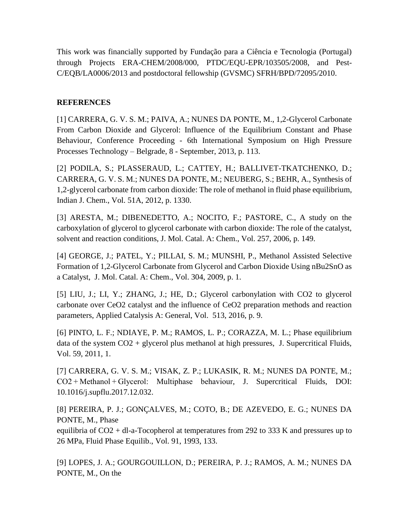This work was financially supported by Fundação para a Ciência e Tecnologia (Portugal) through Projects ERA-CHEM/2008/000, PTDC/EQU-EPR/103505/2008, and Pest-C/EQB/LA0006/2013 and postdoctoral fellowship (GVSMC) SFRH/BPD/72095/2010.

## **REFERENCES**

[1] CARRERA, G. V. S. M.; PAIVA, A.; NUNES DA PONTE, M., 1,2-Glycerol Carbonate From Carbon Dioxide and Glycerol: Influence of the Equilibrium Constant and Phase Behaviour, Conference Proceeding - 6th International Symposium on High Pressure Processes Technology – Belgrade, 8 - September, 2013, p. 113.

[2] PODILA, S.; PLASSERAUD, L.; CATTEY, H.; BALLIVET-TKATCHENKO, D.; CARRERA, G. V. S. M.; NUNES DA PONTE, M.; NEUBERG, S.; BEHR, A., Synthesis of 1,2-glycerol carbonate from carbon dioxide: The role of methanol in fluid phase equilibrium, Indian J. Chem., Vol. 51A, 2012, p. 1330.

[3] ARESTA, M.; DIBENEDETTO, A.; NOCITO, F.; PASTORE, C., A study on the carboxylation of glycerol to glycerol carbonate with carbon dioxide: The role of the catalyst, solvent and reaction conditions, J. Mol. Catal. A: Chem., Vol. 257, 2006, p. 149.

[4] GEORGE, J.; PATEL, Y.; PILLAI, S. M.; MUNSHI, P., Methanol Assisted Selective Formation of 1,2-Glycerol Carbonate from Glycerol and Carbon Dioxide Using nBu2SnO as a Catalyst, J. Mol. Catal. A: Chem., Vol. 304, 2009, p. 1.

[5] LIU, J.; LI, Y.; ZHANG, J.; HE, D.; Glycerol carbonylation with CO2 to glycerol carbonate over CeO2 catalyst and the influence of CeO2 preparation methods and reaction parameters, Applied Catalysis A: General, Vol. 513, 2016, p. 9.

[6] PINTO, L. F.; NDIAYE, P. M.; RAMOS, L. P.; CORAZZA, M. L.; Phase equilibrium data of the system  $CO2 +$  glycerol plus methanol at high pressures, J. Supercritical Fluids, Vol. 59, 2011, 1.

[7] CARRERA, G. V. S. M.; VISAK, Z. P.; LUKASIK, R. M.; NUNES DA PONTE, M.; CO2 + Methanol + Glycerol: Multiphase behaviour, J. Supercritical Fluids, DOI: 10.1016/j.supflu.2017.12.032.

[8] PEREIRA, P. J.; GONÇALVES, M.; COTO, B.; DE AZEVEDO, E. G.; NUNES DA PONTE, M., Phase

equilibria of CO2 + dl-a-Tocopherol at temperatures from 292 to 333 K and pressures up to 26 MPa, Fluid Phase Equilib., Vol. 91, 1993, 133.

[9] LOPES, J. A.; GOURGOUILLON, D.; PEREIRA, P. J.; RAMOS, A. M.; NUNES DA PONTE, M., On the